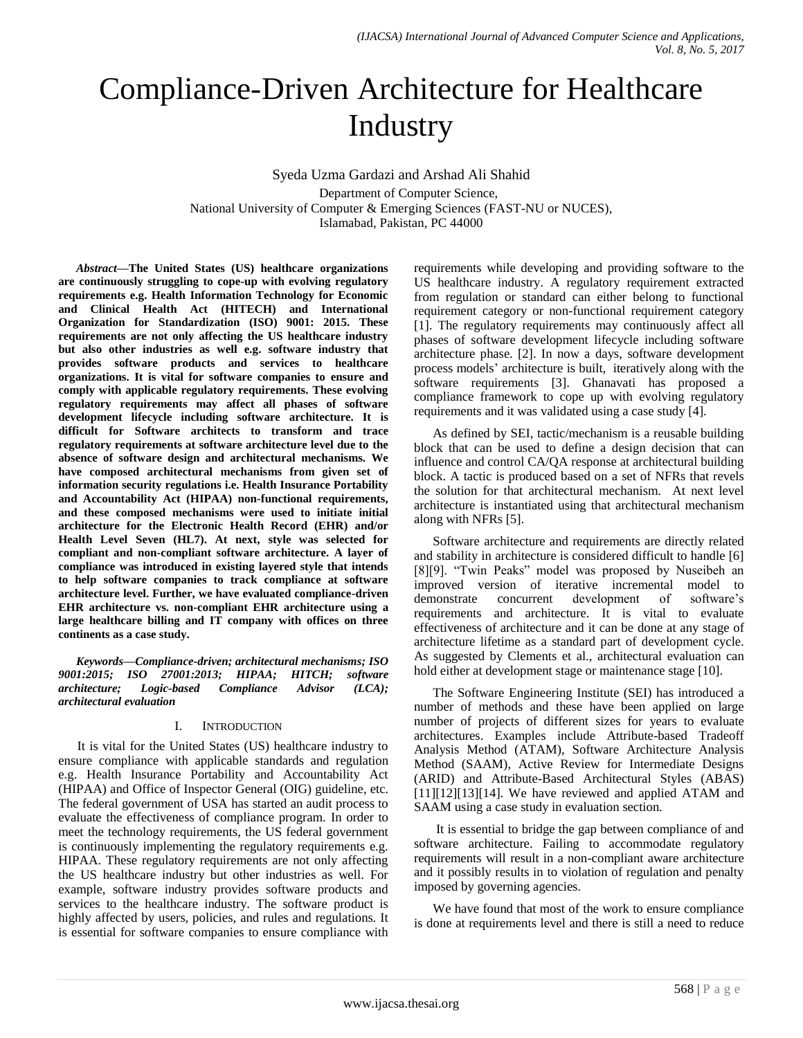# Compliance-Driven Architecture for Healthcare **Industry**

Syeda Uzma Gardazi and Arshad Ali Shahid Department of Computer Science, National University of Computer & Emerging Sciences (FAST-NU or NUCES), Islamabad, Pakistan, PC 44000

*Abstract***—The United States (US) healthcare organizations are continuously struggling to cope-up with evolving regulatory requirements e.g. Health Information Technology for Economic and Clinical Health Act (HITECH) and International Organization for Standardization (ISO) 9001: 2015. These requirements are not only affecting the US healthcare industry but also other industries as well e.g. software industry that provides software products and services to healthcare organizations. It is vital for software companies to ensure and comply with applicable regulatory requirements. These evolving regulatory requirements may affect all phases of software development lifecycle including software architecture. It is difficult for Software architects to transform and trace regulatory requirements at software architecture level due to the absence of software design and architectural mechanisms. We have composed architectural mechanisms from given set of information security regulations i.e. Health Insurance Portability and Accountability Act (HIPAA) non-functional requirements, and these composed mechanisms were used to initiate initial architecture for the Electronic Health Record (EHR) and/or Health Level Seven (HL7). At next, style was selected for compliant and non-compliant software architecture. A layer of compliance was introduced in existing layered style that intends to help software companies to track compliance at software architecture level. Further, we have evaluated compliance-driven EHR architecture vs. non-compliant EHR architecture using a large healthcare billing and IT company with offices on three continents as a case study.**

*Keywords—Compliance-driven; architectural mechanisms; ISO 9001:2015; ISO 27001:2013; HIPAA; HITCH; software architecture; Logic-based Compliance Advisor (LCA); architectural evaluation*

## I. INTRODUCTION

It is vital for the United States (US) healthcare industry to ensure compliance with applicable standards and regulation e.g. Health Insurance Portability and Accountability Act (HIPAA) and Office of Inspector General (OIG) guideline, etc. The federal government of USA has started an audit process to evaluate the effectiveness of compliance program. In order to meet the technology requirements, the US federal government is continuously implementing the regulatory requirements e.g. HIPAA. These regulatory requirements are not only affecting the US healthcare industry but other industries as well. For example, software industry provides software products and services to the healthcare industry. The software product is highly affected by users, policies, and rules and regulations. It is essential for software companies to ensure compliance with requirements while developing and providing software to the US healthcare industry. A regulatory requirement extracted from regulation or standard can either belong to functional requirement category or non-functional requirement category [1]. The regulatory requirements may continuously affect all phases of software development lifecycle including software architecture phase. [2]. In now a days, software development process models' architecture is built, iteratively along with the software requirements [3]. Ghanavati has proposed a compliance framework to cope up with evolving regulatory requirements and it was validated using a case study [4].

As defined by SEI, tactic/mechanism is a reusable building block that can be used to define a design decision that can influence and control CA/QA response at architectural building block. A tactic is produced based on a set of NFRs that revels the solution for that architectural mechanism. At next level architecture is instantiated using that architectural mechanism along with NFRs [5].

Software architecture and requirements are directly related and stability in architecture is considered difficult to handle [6] [8][9]. "Twin Peaks" model was proposed by Nuseibeh an improved version of iterative incremental model to demonstrate concurrent development of software's requirements and architecture. It is vital to evaluate effectiveness of architecture and it can be done at any stage of architecture lifetime as a standard part of development cycle. As suggested by Clements et al., architectural evaluation can hold either at development stage or maintenance stage [10].

The Software Engineering Institute (SEI) has introduced a number of methods and these have been applied on large number of projects of different sizes for years to evaluate architectures. Examples include Attribute-based Tradeoff Analysis Method (ATAM), Software Architecture Analysis Method (SAAM), Active Review for Intermediate Designs (ARID) and Attribute-Based Architectural Styles (ABAS)  $[11][12][13][14]$ . We have reviewed and applied ATAM and SAAM using a case study in evaluation section.

It is essential to bridge the gap between compliance of and software architecture. Failing to accommodate regulatory requirements will result in a non-compliant aware architecture and it possibly results in to violation of regulation and penalty imposed by governing agencies.

We have found that most of the work to ensure compliance is done at requirements level and there is still a need to reduce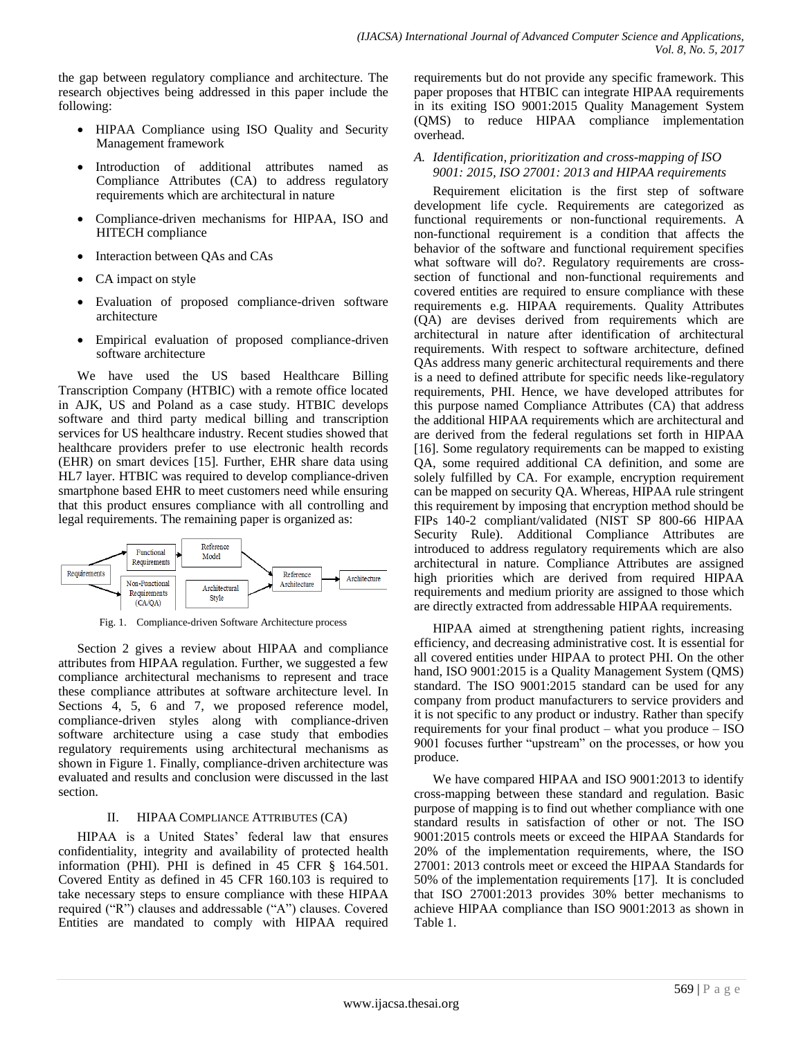the gap between regulatory compliance and architecture. The research objectives being addressed in this paper include the following:

- HIPAA Compliance using ISO Quality and Security Management framework
- Introduction of additional attributes named as Compliance Attributes (CA) to address regulatory requirements which are architectural in nature
- Compliance-driven mechanisms for HIPAA, ISO and HITECH compliance
- Interaction between QAs and CAs
- CA impact on style
- Evaluation of proposed compliance-driven software architecture
- Empirical evaluation of proposed compliance-driven software architecture

We have used the US based Healthcare Billing Transcription Company (HTBIC) with a remote office located in AJK, US and Poland as a case study. HTBIC develops software and third party medical billing and transcription services for US healthcare industry. Recent studies showed that healthcare providers prefer to use electronic health records (EHR) on smart devices [15]. Further, EHR share data using HL7 layer. HTBIC was required to develop compliance-driven smartphone based EHR to meet customers need while ensuring that this product ensures compliance with all controlling and legal requirements. The remaining paper is organized as:



Fig. 1. Compliance-driven Software Architecture process

Section 2 gives a review about HIPAA and compliance attributes from HIPAA regulation. Further, we suggested a few compliance architectural mechanisms to represent and trace these compliance attributes at software architecture level. In Sections 4, 5, 6 and 7, we proposed reference model, compliance-driven styles along with compliance-driven software architecture using a case study that embodies regulatory requirements using architectural mechanisms as shown in Figure 1. Finally, compliance-driven architecture was evaluated and results and conclusion were discussed in the last section.

# II. HIPAA COMPLIANCE ATTRIBUTES (CA)

HIPAA is a United States' federal law that ensures confidentiality, integrity and availability of protected health information (PHI). PHI is defined in 45 CFR § 164.501. Covered Entity as defined in 45 CFR 160.103 is required to take necessary steps to ensure compliance with these HIPAA required ("R") clauses and addressable ("A") clauses. Covered Entities are mandated to comply with HIPAA required requirements but do not provide any specific framework. This paper proposes that HTBIC can integrate HIPAA requirements in its exiting ISO 9001:2015 Quality Management System (QMS) to reduce HIPAA compliance implementation overhead.

## *A. Identification, prioritization and cross-mapping of ISO 9001: 2015, ISO 27001: 2013 and HIPAA requirements*

Requirement elicitation is the first step of software development life cycle. Requirements are categorized as functional requirements or non-functional requirements. A non-functional requirement is a condition that affects the behavior of the software and functional requirement specifies what software will do?. Regulatory requirements are crosssection of functional and non-functional requirements and covered entities are required to ensure compliance with these requirements e.g. HIPAA requirements. Quality Attributes (QA) are devises derived from requirements which are architectural in nature after identification of architectural requirements. With respect to software architecture, defined QAs address many generic architectural requirements and there is a need to defined attribute for specific needs like-regulatory requirements, PHI. Hence, we have developed attributes for this purpose named Compliance Attributes (CA) that address the additional HIPAA requirements which are architectural and are derived from the federal regulations set forth in HIPAA [16]. Some regulatory requirements can be mapped to existing QA, some required additional CA definition, and some are solely fulfilled by CA. For example, encryption requirement can be mapped on security QA. Whereas, HIPAA rule stringent this requirement by imposing that encryption method should be FIPs 140-2 compliant/validated (NIST SP 800-66 HIPAA Security Rule). Additional Compliance Attributes are introduced to address regulatory requirements which are also architectural in nature. Compliance Attributes are assigned high priorities which are derived from required HIPAA requirements and medium priority are assigned to those which are directly extracted from addressable HIPAA requirements.

HIPAA aimed at strengthening patient rights, increasing efficiency, and decreasing administrative cost. It is essential for all covered entities under HIPAA to protect PHI. On the other hand, ISO 9001:2015 is a Quality Management System (QMS) standard. The ISO 9001:2015 standard can be used for any company from product manufacturers to service providers and it is not specific to any product or industry. Rather than specify requirements for your final product – what you produce – ISO 9001 focuses further "upstream" on the processes, or how you produce.

We have compared HIPAA and ISO 9001:2013 to identify cross-mapping between these standard and regulation. Basic purpose of mapping is to find out whether compliance with one standard results in satisfaction of other or not. The ISO 9001:2015 controls meets or exceed the HIPAA Standards for 20% of the implementation requirements, where, the ISO 27001: 2013 controls meet or exceed the HIPAA Standards for 50% of the implementation requirements [17]. It is concluded that ISO 27001:2013 provides 30% better mechanisms to achieve HIPAA compliance than ISO 9001:2013 as shown in Table 1.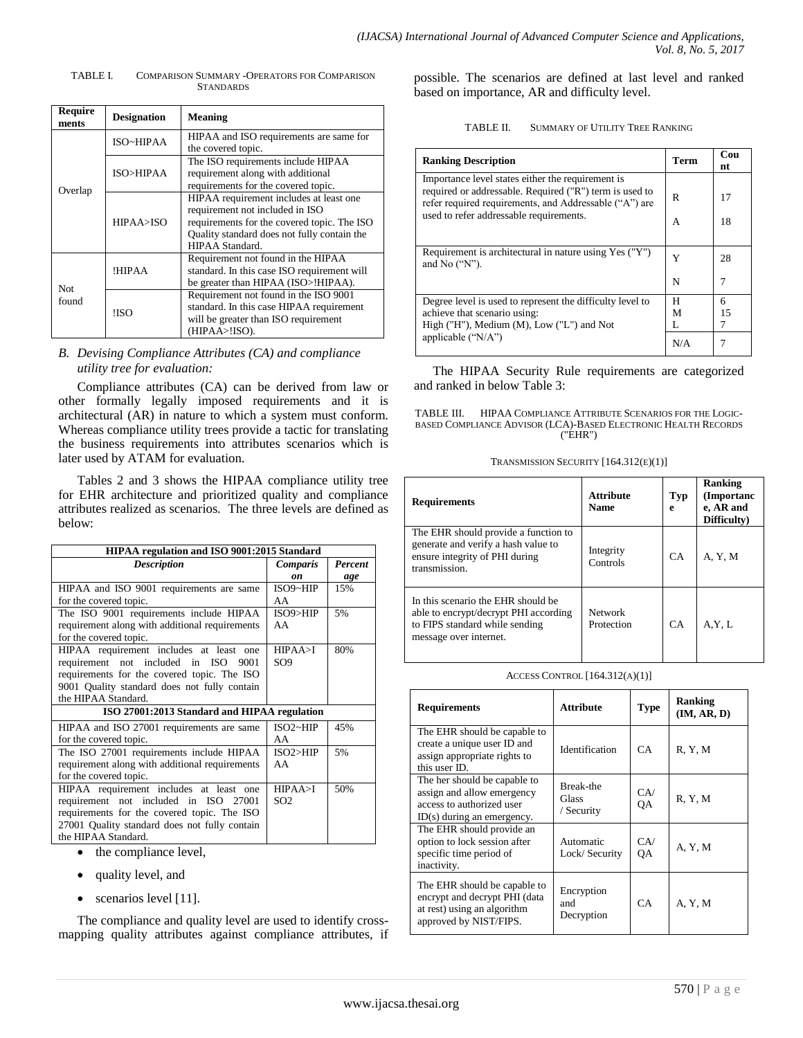TABLE I. COMPARISON SUMMARY -OPERATORS FOR COMPARISON STANDARDS

| <b>Require</b><br>ments | <b>Designation</b> | <b>Meaning</b>                                                                                                                                                                              |  |  |
|-------------------------|--------------------|---------------------------------------------------------------------------------------------------------------------------------------------------------------------------------------------|--|--|
| Overlap                 | ISO~HIPAA          | HIPAA and ISO requirements are same for<br>the covered topic.                                                                                                                               |  |  |
|                         | ISO>HIPAA          | The ISO requirements include HIPAA<br>requirement along with additional<br>requirements for the covered topic.                                                                              |  |  |
|                         | HPAA > ISO         | HIPAA requirement includes at least one<br>requirement not included in ISO<br>requirements for the covered topic. The ISO<br>Quality standard does not fully contain the<br>HIPAA Standard. |  |  |
| Not                     | !HIPAA             | Requirement not found in the HIPAA<br>standard. In this case ISO requirement will<br>be greater than HIPAA (ISO>!HIPAA).                                                                    |  |  |
| found                   | !ISO               | Requirement not found in the ISO 9001<br>standard. In this case HIPAA requirement<br>will be greater than ISO requirement<br>(HIPAA>!ISO).                                                  |  |  |

## *B. Devising Compliance Attributes (CA) and compliance utility tree for evaluation:*

Compliance attributes (CA) can be derived from law or other formally legally imposed requirements and it is architectural (AR) in nature to which a system must conform. Whereas compliance utility trees provide a tactic for translating the business requirements into attributes scenarios which is later used by ATAM for evaluation.

Tables 2 and 3 shows the HIPAA compliance utility tree for EHR architecture and prioritized quality and compliance attributes realized as scenarios. The three levels are defined as below:

| HIPAA regulation and ISO 9001:2015 Standard    |                 |                |
|------------------------------------------------|-----------------|----------------|
| <b>Description</b>                             | <b>Comparis</b> | <b>Percent</b> |
|                                                | on              | age            |
| HIPAA and ISO 9001 requirements are same       | ISO9~HIP        | 15%            |
| for the covered topic.                         | AA              |                |
| The ISO 9001 requirements include HIPAA        | ISO9>HIP        | 5%             |
| requirement along with additional requirements | AA              |                |
| for the covered topic.                         |                 |                |
| HIPAA requirement includes at least one        | HPAA > I        | 80%            |
| requirement not included in ISO 9001           | SO <sub>9</sub> |                |
| requirements for the covered topic. The ISO    |                 |                |
| 9001 Quality standard does not fully contain   |                 |                |
| the HIPAA Standard.                            |                 |                |
| ISO 27001:2013 Standard and HIPAA regulation   |                 |                |
| HIPAA and ISO 27001 requirements are same      | $ISO2-HIP$      | 45%            |
| for the covered topic.                         | AA              |                |
| The ISO 27001 requirements include HIPAA       | ISO2 > HIP      | 5%             |
| requirement along with additional requirements | AA              |                |
| for the covered topic.                         |                 |                |
| HIPAA requirement includes at least one        | HPAA > I        | 50%            |
| requirement not included in ISO 27001          | SO <sub>2</sub> |                |
| requirements for the covered topic. The ISO    |                 |                |
| 27001 Quality standard does not fully contain  |                 |                |
| the HIPAA Standard.                            |                 |                |

- the compliance level,
- quality level, and
- scenarios level [11].

The compliance and quality level are used to identify crossmapping quality attributes against compliance attributes, if possible. The scenarios are defined at last level and ranked based on importance, AR and difficulty level.

| <b>Ranking Description</b>                                                                                                                                             | <b>Term</b> | Cou<br>nt |
|------------------------------------------------------------------------------------------------------------------------------------------------------------------------|-------------|-----------|
| Importance level states either the requirement is<br>required or addressable. Required ("R") term is used to<br>refer required requirements, and Addressable ("A") are | R           | 17        |
| used to refer addressable requirements.                                                                                                                                | А           | 18        |
| Requirement is architectural in nature using Yes ("Y")<br>and No $("N")$ .                                                                                             | Y           | 28        |
|                                                                                                                                                                        | N           | 7         |
| Degree level is used to represent the difficulty level to<br>achieve that scenario using:<br>High ("H"), Medium $(M)$ , Low ("L") and Not                              | H<br>м<br>L | 6<br>15   |
| applicable $({\rm 'N/A'})$                                                                                                                                             | N/A         |           |

The HIPAA Security Rule requirements are categorized and ranked in below Table 3:

TABLE III. HIPAA COMPLIANCE ATTRIBUTE SCENARIOS FOR THE LOGIC-BASED COMPLIANCE ADVISOR (LCA)-BASED ELECTRONIC HEALTH RECORDS ("EHR")

| <b>Requirements</b>                                                                                                                     | <b>Attribute</b><br><b>Name</b> | <b>Typ</b><br>e | <b>Ranking</b><br>(Importanc<br>e, AR and<br>Difficulty) |
|-----------------------------------------------------------------------------------------------------------------------------------------|---------------------------------|-----------------|----------------------------------------------------------|
| The EHR should provide a function to<br>generate and verify a hash value to<br>ensure integrity of PHI during<br>transmission.          | Integrity<br>Controls           | CA              | A, Y, M                                                  |
| In this scenario the EHR should be<br>able to encrypt/decrypt PHI according<br>to FIPS standard while sending<br>message over internet. | <b>Network</b><br>Protection    | CA              | A, Y, L                                                  |

| ACCESS CONTROL $[164.312(A)(1)]$ |  |
|----------------------------------|--|
|----------------------------------|--|

| <b>Requirements</b>                                                                                                     | <b>Attribute</b>                 | <b>Type</b> | <b>Ranking</b><br>(IM, AR, D) |
|-------------------------------------------------------------------------------------------------------------------------|----------------------------------|-------------|-------------------------------|
| The EHR should be capable to<br>create a unique user ID and<br>assign appropriate rights to<br>this user ID.            | Identification                   | CA          | R, Y, M                       |
| The her should be capable to<br>assign and allow emergency<br>access to authorized user<br>$ID(s)$ during an emergency. | Break-the<br>Glass<br>/ Security | CA/<br>OA   | R, Y, M                       |
| The EHR should provide an<br>option to lock session after<br>specific time period of<br>inactivity.                     | Automatic<br>Lock/Security       | CA/<br>OA   | A, Y, M                       |
| The EHR should be capable to<br>encrypt and decrypt PHI (data<br>at rest) using an algorithm<br>approved by NIST/FIPS.  | Encryption<br>and<br>Decryption  | CA          | A, Y, M                       |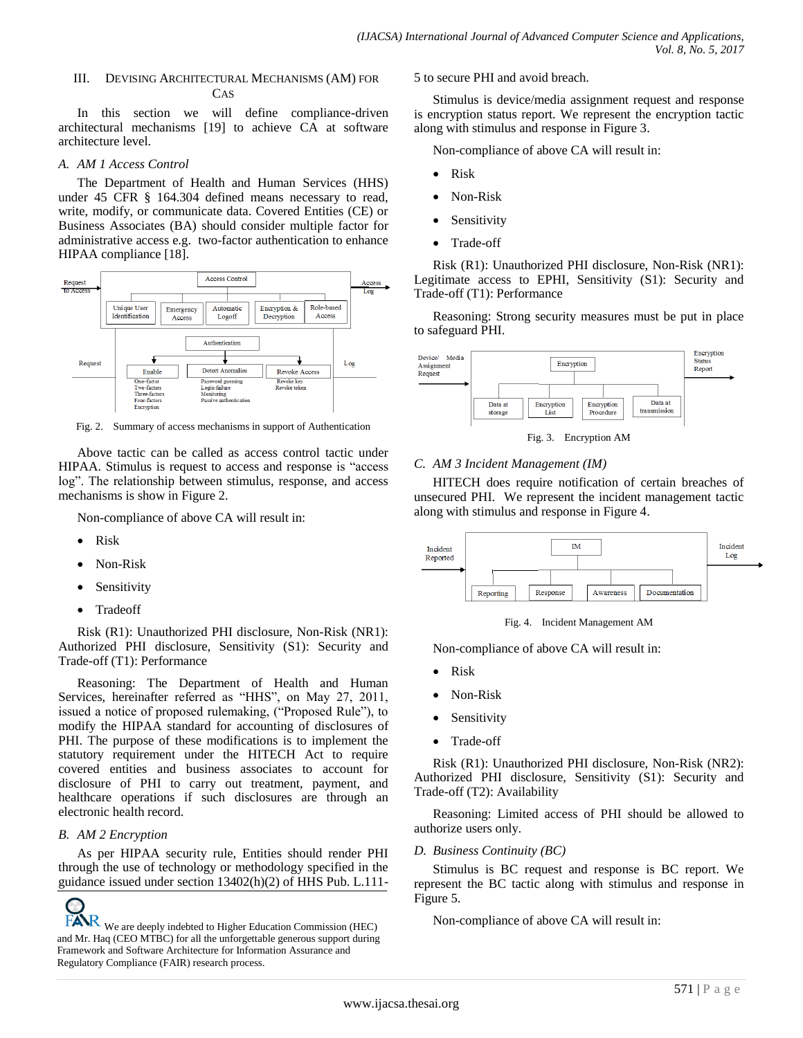## III. DEVISING ARCHITECTURAL MECHANISMS (AM) FOR CAS

In this section we will define compliance-driven architectural mechanisms [19] to achieve CA at software architecture level.

## *A. AM 1 Access Control*

The Department of Health and Human Services (HHS) under 45 CFR § 164.304 defined means necessary to read, write, modify, or communicate data. Covered Entities (CE) or Business Associates (BA) should consider multiple factor for administrative access e.g. two-factor authentication to enhance HIPAA compliance [18].



Fig. 2. Summary of access mechanisms in support of Authentication

Above tactic can be called as access control tactic under HIPAA. Stimulus is request to access and response is "access log". The relationship between stimulus, response, and access mechanisms is show in Figure 2.

Non-compliance of above CA will result in:

- Risk
- Non-Risk
- Sensitivity
- Tradeoff

Risk (R1): Unauthorized PHI disclosure, Non-Risk (NR1): Authorized PHI disclosure, Sensitivity (S1): Security and Trade-off (T1): Performance

Reasoning: The Department of Health and Human Services, hereinafter referred as "HHS", on May 27, 2011, issued a notice of proposed rulemaking, ("Proposed Rule"), to modify the HIPAA standard for accounting of disclosures of PHI. The purpose of these modifications is to implement the statutory requirement under the HITECH Act to require covered entities and business associates to account for disclosure of PHI to carry out treatment, payment, and healthcare operations if such disclosures are through an electronic health record.

## *B. AM 2 Encryption*

As per HIPAA security rule, Entities should render PHI through the use of technology or methodology specified in the guidance issued under section 13402(h)(2) of HHS Pub. L.111-

 $\overline{FAR}$  We are deeply indebted to Higher Education Commission (HEC) Non-compliance of above CA will result in: and Mr. Haq (CEO MTBC) for all the unforgettable generous support during Framework and Software Architecture for Information Assurance and Regulatory Compliance (FAIR) research process.

5 to secure PHI and avoid breach.

Stimulus is device/media assignment request and response is encryption status report. We represent the encryption tactic along with stimulus and response in Figure 3.

Non-compliance of above CA will result in:

- Risk
- Non-Risk
- Sensitivity
- Trade-off

Risk (R1): Unauthorized PHI disclosure, Non-Risk (NR1): Legitimate access to EPHI, Sensitivity (S1): Security and Trade-off (T1): Performance

Reasoning: Strong security measures must be put in place to safeguard PHI.



Fig. 3. Encryption AM

## *C. AM 3 Incident Management (IM)*

HITECH does require notification of certain breaches of unsecured PHI. We represent the incident management tactic along with stimulus and response in Figure 4.



Fig. 4. Incident Management AM

Non-compliance of above CA will result in:

- Risk
- Non-Risk
- Sensitivity
- Trade-off

Risk (R1): Unauthorized PHI disclosure, Non-Risk (NR2): Authorized PHI disclosure, Sensitivity (S1): Security and Trade-off (T2): Availability

Reasoning: Limited access of PHI should be allowed to authorize users only.

## *D. Business Continuity (BC)*

Stimulus is BC request and response is BC report. We represent the BC tactic along with stimulus and response in Figure 5.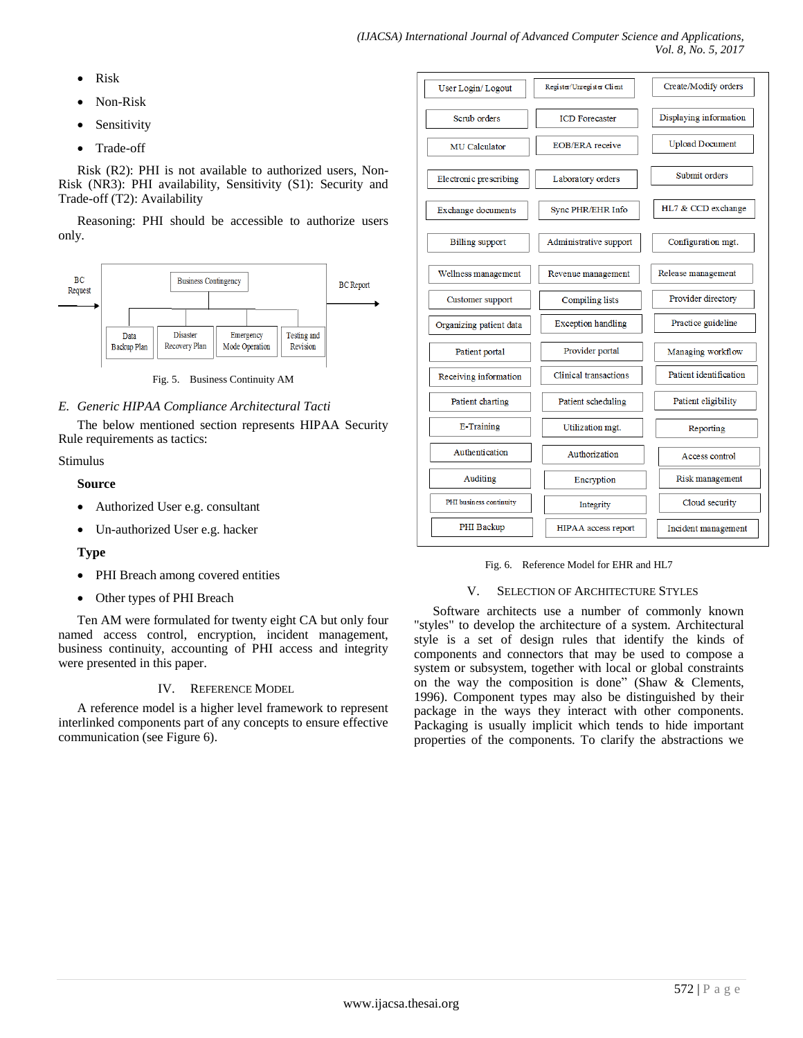- Risk
- Non-Risk
- Sensitivity
- Trade-off

Risk (R2): PHI is not available to authorized users, Non-Risk (NR3): PHI availability, Sensitivity (S1): Security and Trade-off (T2): Availability

Reasoning: PHI should be accessible to authorize users only.



Fig. 5. Business Continuity AM

## *E. Generic HIPAA Compliance Architectural Tacti*

The below mentioned section represents HIPAA Security Rule requirements as tactics:

## Stimulus

## **Source**

- Authorized User e.g. consultant
- Un-authorized User e.g. hacker

## **Type**

- PHI Breach among covered entities
- Other types of PHI Breach

Ten AM were formulated for twenty eight CA but only four named access control, encryption, incident management, business continuity, accounting of PHI access and integrity were presented in this paper.

## IV. REFERENCE MODEL

A reference model is a higher level framework to represent interlinked components part of any concepts to ensure effective communication (see Figure 6).



#### Fig. 6. Reference Model for EHR and HL7

## V. SELECTION OF ARCHITECTURE STYLES

Software architects use a number of commonly known "styles" to develop the architecture of a system. Architectural style is a set of design rules that identify the kinds of components and connectors that may be used to compose a system or subsystem, together with local or global constraints on the way the composition is done" (Shaw & Clements, 1996). Component types may also be distinguished by their package in the ways they interact with other components. Packaging is usually implicit which tends to hide important properties of the components. To clarify the abstractions we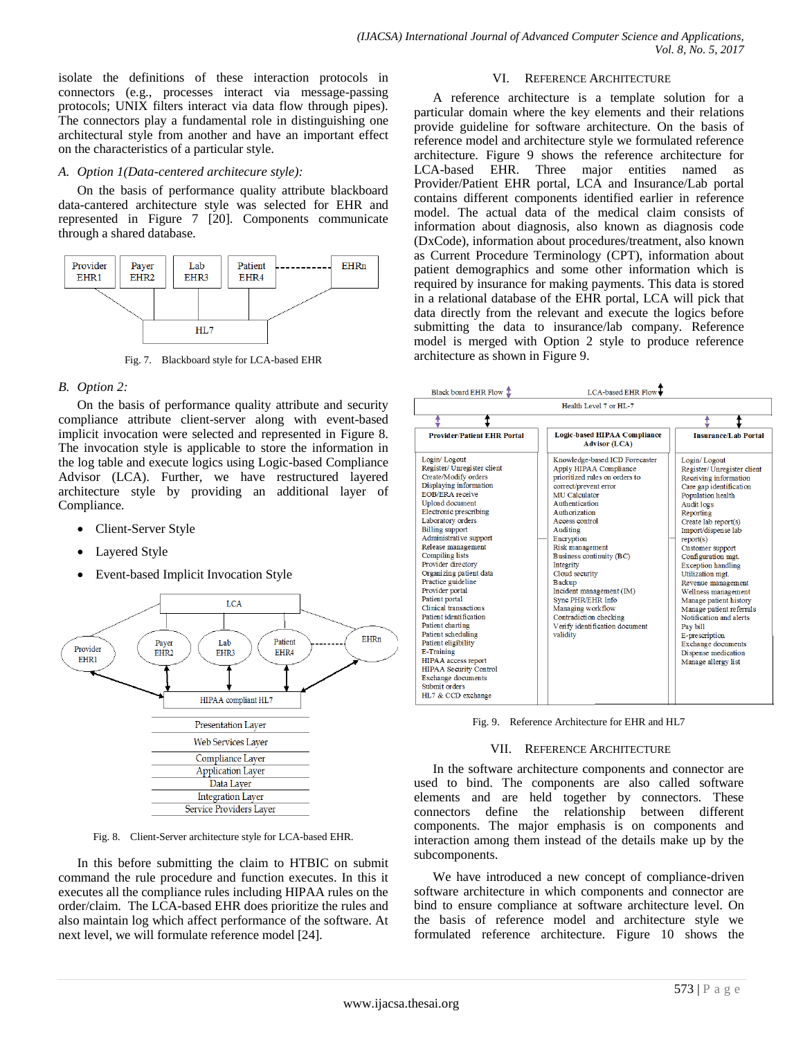isolate the definitions of these interaction protocols in connectors (e.g., processes interact via message-passing protocols; UNIX filters interact via data flow through pipes). The connectors play a fundamental role in distinguishing one architectural style from another and have an important effect on the characteristics of a particular style.

## *A. Option 1(Data-centered architecure style):*

On the basis of performance quality attribute blackboard data-cantered architecture style was selected for EHR and represented in Figure 7 [20]. Components communicate through a shared database.



Fig. 7. Blackboard style for LCA-based EHR

## *B. Option 2:*

On the basis of performance quality attribute and security compliance attribute client-server along with event-based implicit invocation were selected and represented in Figure 8. The invocation style is applicable to store the information in the log table and execute logics using Logic-based Compliance Advisor (LCA). Further, we have restructured layered architecture style by providing an additional layer of Compliance.

- Client-Server Style
- Layered Style
- Event-based Implicit Invocation Style



Fig. 8. Client-Server architecture style for LCA-based EHR.

In this before submitting the claim to HTBIC on submit command the rule procedure and function executes. In this it executes all the compliance rules including HIPAA rules on the order/claim. The LCA-based EHR does prioritize the rules and also maintain log which affect performance of the software. At next level, we will formulate reference model [24].

#### VI. REFERENCE ARCHITECTURE

A reference architecture is a template solution for a particular domain where the key elements and their relations provide guideline for software architecture. On the basis of reference model and architecture style we formulated reference architecture. Figure 9 shows the reference architecture for LCA-based EHR. Three major entities named as Provider/Patient EHR portal, LCA and Insurance/Lab portal contains different components identified earlier in reference model. The actual data of the medical claim consists of information about diagnosis, also known as diagnosis code (DxCode), information about procedures/treatment, also known as Current Procedure Terminology (CPT), information about patient demographics and some other information which is required by insurance for making payments. This data is stored in a relational database of the EHR portal, LCA will pick that data directly from the relevant and execute the logics before submitting the data to insurance/lab company. Reference model is merged with Option 2 style to produce reference architecture as shown in Figure 9.

| Black board EHR Flow T                                                                                                                                                                                                                                                                                                                                                                                                                                                                                                                                                                                                                                                                | LCA-based EHR Flow                                                                                                                                                                                                                                                                                                                                                                                                                                                      |                                                                                                                                                                                                                                                                                                                                                                                                                                                                                                                                              |
|---------------------------------------------------------------------------------------------------------------------------------------------------------------------------------------------------------------------------------------------------------------------------------------------------------------------------------------------------------------------------------------------------------------------------------------------------------------------------------------------------------------------------------------------------------------------------------------------------------------------------------------------------------------------------------------|-------------------------------------------------------------------------------------------------------------------------------------------------------------------------------------------------------------------------------------------------------------------------------------------------------------------------------------------------------------------------------------------------------------------------------------------------------------------------|----------------------------------------------------------------------------------------------------------------------------------------------------------------------------------------------------------------------------------------------------------------------------------------------------------------------------------------------------------------------------------------------------------------------------------------------------------------------------------------------------------------------------------------------|
|                                                                                                                                                                                                                                                                                                                                                                                                                                                                                                                                                                                                                                                                                       | Health Level 7 or HL-7                                                                                                                                                                                                                                                                                                                                                                                                                                                  |                                                                                                                                                                                                                                                                                                                                                                                                                                                                                                                                              |
| t                                                                                                                                                                                                                                                                                                                                                                                                                                                                                                                                                                                                                                                                                     |                                                                                                                                                                                                                                                                                                                                                                                                                                                                         |                                                                                                                                                                                                                                                                                                                                                                                                                                                                                                                                              |
| <b>Provider/Patient EHR Portal</b>                                                                                                                                                                                                                                                                                                                                                                                                                                                                                                                                                                                                                                                    | <b>Logic-based HIPAA Compliance</b><br><b>Advisor (LCA)</b>                                                                                                                                                                                                                                                                                                                                                                                                             | <b>Insurance/Lab Portal</b>                                                                                                                                                                                                                                                                                                                                                                                                                                                                                                                  |
| Login/Logout<br>Register/ Unregister client<br>Create/Modify orders<br>Displaying information<br><b>EOB/ERA</b> receive<br><b>Upload</b> document<br>Electronic prescribing<br>Laboratory orders<br><b>Billing</b> support<br>Administrative support<br>Release management<br><b>Compiling lists</b><br>Provider directory<br>Organizing patient data<br>Practice guideline<br>Provider portal<br>Patient portal<br>Clinical transactions<br>Patient identification<br>Patient charting<br>Patient scheduling<br>Patient eligibility<br><b>E-Training</b><br>HIPAA access report<br><b>HIPAA Security Control</b><br><b>Exchange documents</b><br>Submit orders<br>HL7 & CCD exchange | Knowledge-based ICD Forecaster<br>Apply HIPAA Compliance<br>prioritized rules on orders to<br>correct/prevent error<br>MU Calculator<br>Authentication<br>Authorization<br>Access control<br>Auditing<br>Encryption<br>Risk management<br>Business continuity (BC)<br>Integrity<br>Cloud security<br><b>Backup</b><br>Incident management (IM)<br><b>Sync PHR/EHR Info</b><br>Managing workflow<br>Contradiction checking<br>Verify identification document<br>validity | Login/Logout<br>Register/Unregister client<br>Receiving information<br>Care gap identification<br>Population health<br>Audit logs<br>Reporting<br>Create lab report(s)<br>Import/dispense lab<br>report(s)<br>Customer support<br>Configuration mgt.<br><b>Exception handling</b><br>Utilization mgt.<br>Revenue management<br>Wellness management<br>Manage patient history<br>Manage patient referrals<br>Notification and alerts<br>Pay bill<br>E-prescription<br><b>Exchange documents</b><br>Dispense medication<br>Manage allergy list |

Fig. 9. Reference Architecture for EHR and HL7

#### VII. REFERENCE ARCHITECTURE

In the software architecture components and connector are used to bind. The components are also called software elements and are held together by connectors. These connectors define the relationship between different components. The major emphasis is on components and interaction among them instead of the details make up by the subcomponents.

We have introduced a new concept of compliance-driven software architecture in which components and connector are bind to ensure compliance at software architecture level. On the basis of reference model and architecture style we formulated reference architecture. Figure 10 shows the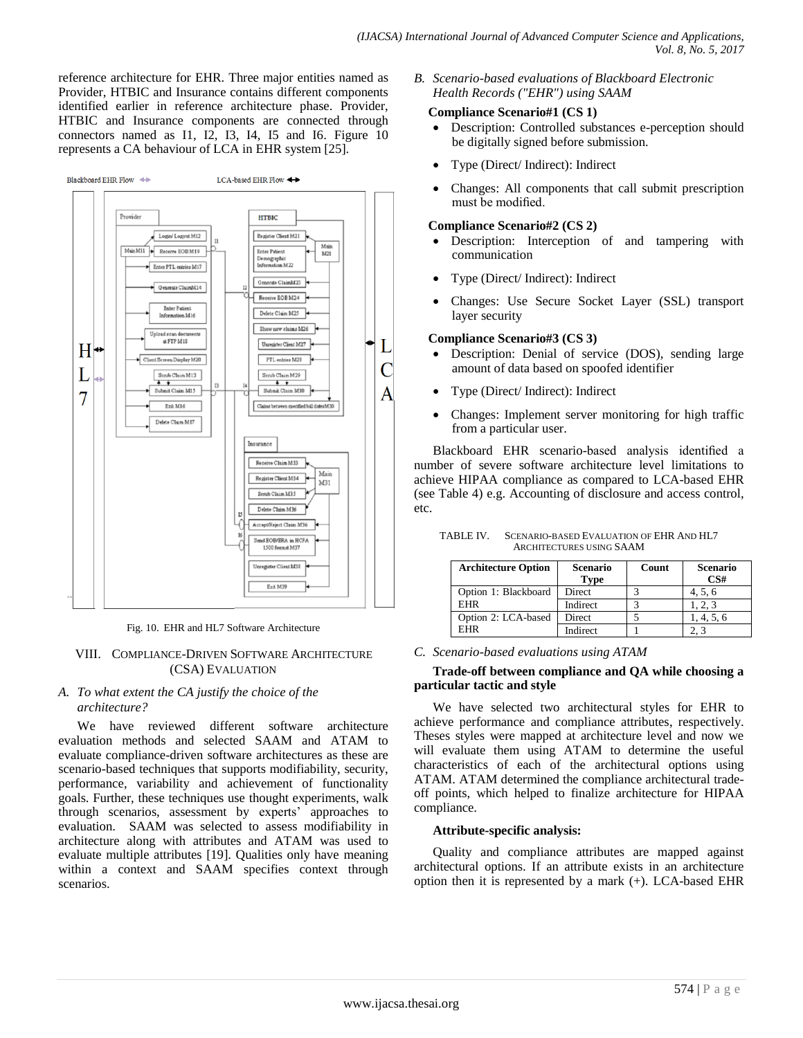reference architecture for EHR. Three major entities named as Provider, HTBIC and Insurance contains different components identified earlier in reference architecture phase. Provider, HTBIC and Insurance components are connected through connectors named as I1, I2, I3, I4, I5 and I6. Figure 10 represents a CA behaviour of LCA in EHR system [25].



Fig. 10. EHR and HL7 Software Architecture

## VIII. COMPLIANCE-DRIVEN SOFTWARE ARCHITECTURE (CSA) EVALUATION

## *A. To what extent the CA justify the choice of the architecture?*

We have reviewed different software architecture evaluation methods and selected SAAM and ATAM to evaluate compliance-driven software architectures as these are scenario-based techniques that supports modifiability, security, performance, variability and achievement of functionality goals. Further, these techniques use thought experiments, walk through scenarios, assessment by experts' approaches to evaluation. SAAM was selected to assess modifiability in architecture along with attributes and ATAM was used to evaluate multiple attributes [19]. Qualities only have meaning within a context and SAAM specifies context through scenarios.

*B. Scenario-based evaluations of Blackboard Electronic Health Records ("EHR") using SAAM*

## **Compliance Scenario#1 (CS 1)**

- Description: Controlled substances e-perception should be digitally signed before submission.
- Type (Direct/ Indirect): Indirect
- Changes: All components that call submit prescription must be modified.

## **Compliance Scenario#2 (CS 2)**

- Description: Interception of and tampering with communication
- Type (Direct/ Indirect): Indirect
- Changes: Use Secure Socket Layer (SSL) transport layer security

## **Compliance Scenario#3 (CS 3)**

- Description: Denial of service (DOS), sending large amount of data based on spoofed identifier
- Type (Direct/ Indirect): Indirect
- Changes: Implement server monitoring for high traffic from a particular user.

Blackboard EHR scenario-based analysis identified a number of severe software architecture level limitations to achieve HIPAA compliance as compared to LCA-based EHR (see Table 4) e.g. Accounting of disclosure and access control, etc.

| <b>Architecture Option</b> | Scenario<br>Type | Count | <b>Scenario</b><br>CS# |
|----------------------------|------------------|-------|------------------------|
| Option 1: Blackboard       | Direct           |       | 4, 5, 6                |
| <b>EHR</b>                 | Indirect         |       | 1, 2, 3                |
| Option 2: LCA-based        | Direct           |       | 1, 4, 5, 6             |
| <b>EHR</b>                 | Indirect         |       |                        |

TABLE IV. SCENARIO-BASED EVALUATION OF EHR AND HL7 ARCHITECTURES USING SAAM

## *C. Scenario-based evaluations using ATAM*

## **Trade-off between compliance and QA while choosing a particular tactic and style**

We have selected two architectural styles for EHR to achieve performance and compliance attributes, respectively. Theses styles were mapped at architecture level and now we will evaluate them using ATAM to determine the useful characteristics of each of the architectural options using ATAM. ATAM determined the compliance architectural tradeoff points, which helped to finalize architecture for HIPAA compliance.

## **Attribute-specific analysis:**

Quality and compliance attributes are mapped against architectural options. If an attribute exists in an architecture option then it is represented by a mark (+). LCA-based EHR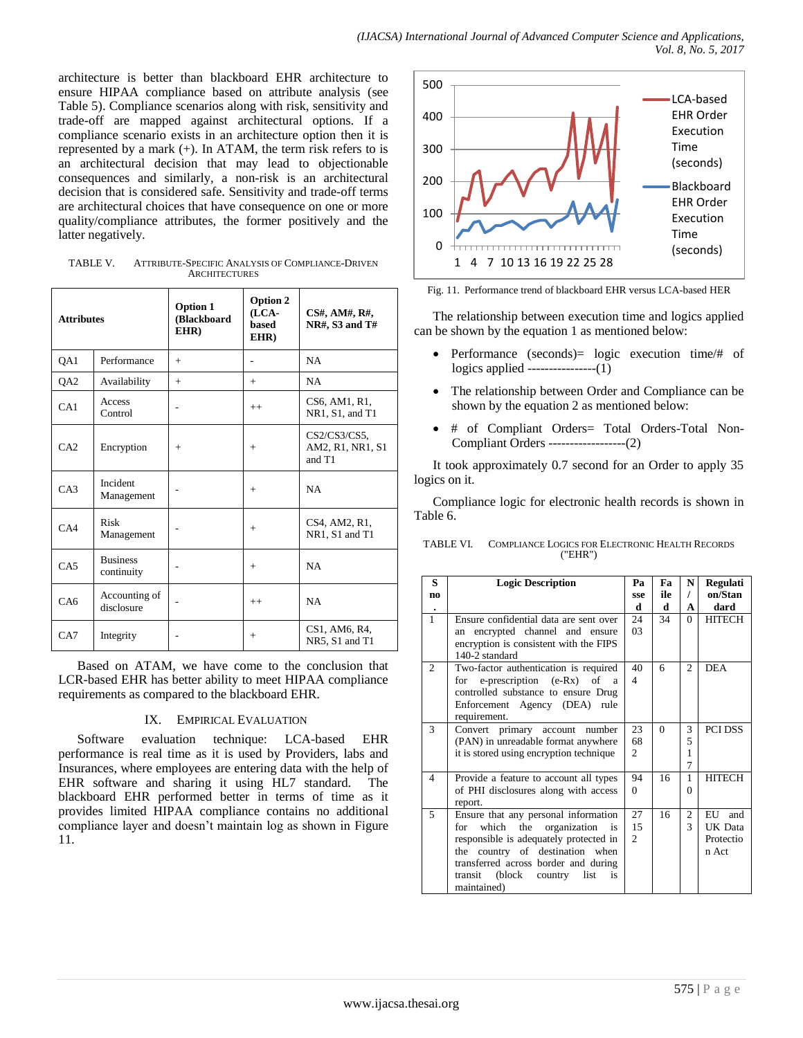architecture is better than blackboard EHR architecture to ensure HIPAA compliance based on attribute analysis (see Table 5). Compliance scenarios along with risk, sensitivity and trade-off are mapped against architectural options. If a compliance scenario exists in an architecture option then it is represented by a mark (+). In ATAM, the term risk refers to is an architectural decision that may lead to objectionable consequences and similarly, a non-risk is an architectural decision that is considered safe. Sensitivity and trade-off terms are architectural choices that have consequence on one or more quality/compliance attributes, the former positively and the latter negatively.

TABLE V. ATTRIBUTE-SPECIFIC ANALYSIS OF COMPLIANCE-DRIVEN **ARCHITECTURES** 

| <b>Attributes</b> |                               | <b>Option 1</b><br>(Blackboard<br>EHR) | <b>Option 2</b><br>(LCA-<br>based<br>EHR) | CS#, AM#, R#,<br><b>NR#, S3 and T#</b>        |
|-------------------|-------------------------------|----------------------------------------|-------------------------------------------|-----------------------------------------------|
| QA1               | Performance                   | $+$                                    |                                           | NA                                            |
| QA2               | Availability                  | $+$                                    | $+$                                       | NA.                                           |
| CA1               | Access<br>Control             |                                        | $++$                                      | CS6, AM1, R1,<br>NR1, S1, and T1              |
| CA2               | Encryption                    | $+$                                    | $^{+}$                                    | $CS2/CS3/CS5$ .<br>AM2, R1, NR1, S1<br>and T1 |
| CA3               | Incident<br>Management        |                                        | $+$                                       | <b>NA</b>                                     |
| CA4               | Risk<br>Management            |                                        | $+$                                       | CS4, AM2, R1,<br>NR1, S1 and T1               |
| CAS               | <b>Business</b><br>continuity |                                        | $+$                                       | NA                                            |
| CA6               | Accounting of<br>disclosure   |                                        | $++$                                      | NA                                            |
| CA7               | Integrity                     |                                        | $+$                                       | CS1, AM6, R4,<br>NR5, S1 and T1               |

Based on ATAM, we have come to the conclusion that LCR-based EHR has better ability to meet HIPAA compliance requirements as compared to the blackboard EHR.

## IX. EMPIRICAL EVALUATION

Software evaluation technique: LCA-based EHR performance is real time as it is used by Providers, labs and Insurances, where employees are entering data with the help of EHR software and sharing it using HL7 standard. The blackboard EHR performed better in terms of time as it provides limited HIPAA compliance contains no additional compliance layer and doesn't maintain log as shown in Figure 11.



Fig. 11. Performance trend of blackboard EHR versus LCA-based HER

The relationship between execution time and logics applied can be shown by the equation 1 as mentioned below:

- Performance (seconds) = logic execution time/# of logics applied ----------------(1)
- The relationship between Order and Compliance can be shown by the equation 2 as mentioned below:
- # of Compliant Orders= Total Orders-Total Non-Compliant Orders ------------------(2)

It took approximately 0.7 second for an Order to apply 35 logics on it.

Compliance logic for electronic health records is shown in Table 6.

| TABLE VI. | COMPLIANCE LOGICS FOR ELECTRONIC HEALTH RECORDS |
|-----------|-------------------------------------------------|
|           | (''EHR'')                                       |
|           |                                                 |

| S              | <b>Logic Description</b>                    | Pa                       | Fa       | N              | Regulati       |
|----------------|---------------------------------------------|--------------------------|----------|----------------|----------------|
| no             |                                             | sse                      | ile      | $\prime$       | on/Stan        |
|                |                                             | d                        | d        | A              | dard           |
| $\mathbf{1}$   | Ensure confidential data are sent over      | 24                       | 34       | 0              | <b>HITECH</b>  |
|                | an encrypted channel and ensure             | 03                       |          |                |                |
|                | encryption is consistent with the FIPS      |                          |          |                |                |
|                | 140-2 standard                              |                          |          |                |                |
| 2              | Two-factor authentication is required       | 40                       | 6        | $\mathfrak{D}$ | <b>DEA</b>     |
|                | for e-prescription (e-Rx) of<br>a           | $\overline{\mathcal{A}}$ |          |                |                |
|                | controlled substance to ensure Drug         |                          |          |                |                |
|                | Enforcement Agency (DEA) rule               |                          |          |                |                |
|                | requirement.                                |                          |          |                |                |
| 3              | Convert primary account<br>number           | 23                       | $\Omega$ | 3              | <b>PCI DSS</b> |
|                | (PAN) in unreadable format anywhere         | 68                       |          | 5              |                |
|                | it is stored using encryption technique     | 2                        |          | 1              |                |
|                |                                             |                          |          | 7              |                |
| $\overline{4}$ | Provide a feature to account all types      | 94                       | 16       | 1              | <b>HITECH</b>  |
|                | of PHI disclosures along with access        | $\Omega$                 |          | 0              |                |
|                | report.                                     |                          |          |                |                |
| 5              | Ensure that any personal information        | 27                       | 16       | 2              | EU<br>and      |
|                | which the organization<br>for<br>is         | 15                       |          | 3              | UK Data        |
|                | responsible is adequately protected in      | $\overline{2}$           |          |                | Protectio      |
|                | country of destination when<br>the          |                          |          |                | n Act          |
|                | transferred across border and during        |                          |          |                |                |
|                | (block)<br>transit<br>list<br>country<br>is |                          |          |                |                |
|                | maintained)                                 |                          |          |                |                |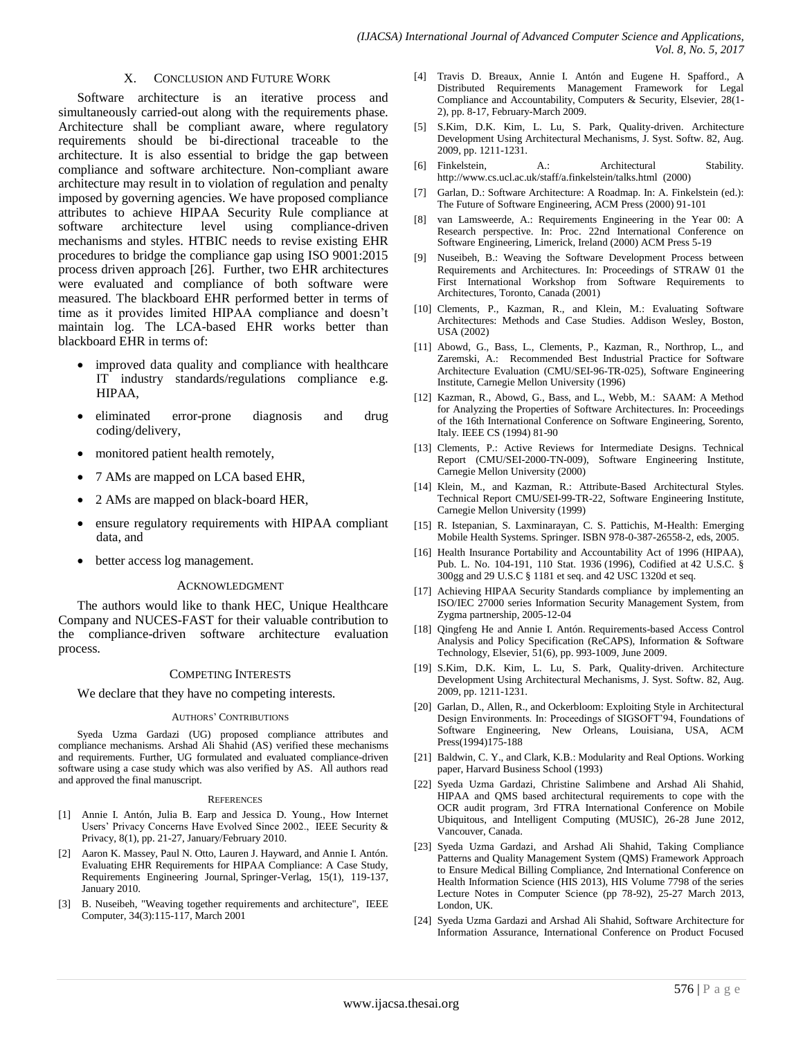### X. CONCLUSION AND FUTURE WORK

Software architecture is an iterative process and simultaneously carried-out along with the requirements phase. Architecture shall be compliant aware, where regulatory requirements should be bi-directional traceable to the architecture. It is also essential to bridge the gap between compliance and software architecture. Non-compliant aware architecture may result in to violation of regulation and penalty imposed by governing agencies. We have proposed compliance attributes to achieve HIPAA Security Rule compliance at software architecture level using compliance-driven mechanisms and styles. HTBIC needs to revise existing EHR procedures to bridge the compliance gap using ISO 9001:2015 process driven approach [26]. Further, two EHR architectures were evaluated and compliance of both software were measured. The blackboard EHR performed better in terms of time as it provides limited HIPAA compliance and doesn't maintain log. The LCA-based EHR works better than blackboard EHR in terms of:

- improved data quality and compliance with healthcare IT industry standards/regulations compliance e.g. HIPAA,
- eliminated error-prone diagnosis and drug coding/delivery,
- monitored patient health remotely,
- 7 AMs are mapped on LCA based EHR,
- 2 AMs are mapped on black-board HER,
- ensure regulatory requirements with HIPAA compliant data, and
- better access log management.

### ACKNOWLEDGMENT

The authors would like to thank HEC, Unique Healthcare Company and NUCES-FAST for their valuable contribution to the compliance-driven software architecture evaluation process.

#### COMPETING INTERESTS

We declare that they have no competing interests.

#### AUTHORS' CONTRIBUTIONS

Syeda Uzma Gardazi (UG) proposed compliance attributes and compliance mechanisms. Arshad Ali Shahid (AS) verified these mechanisms and requirements. Further, UG formulated and evaluated compliance-driven software using a case study which was also verified by AS. All authors read and approved the final manuscript.

#### **REFERENCES**

- [1] Annie I. Antón, Julia B. Earp and Jessica D. Young., How Internet Users' Privacy Concerns Have Evolved Since 2002., IEEE Security & Privacy, 8(1), pp. 21-27, January/February 2010.
- [2] Aaron K. Massey, Paul N. Otto, Lauren J. Hayward, and Annie I. Antón. Evaluating EHR Requirements for HIPAA Compliance: A Case Study, Requirements Engineering Journal, Springer-Verlag, 15(1), 119-137, January 2010.
- [3] B. Nuseibeh, "Weaving together requirements and architecture", IEEE Computer, 34(3):115-117, March 2001
- [4] Travis D. Breaux, Annie I. Antón and Eugene H. Spafford., A Distributed Requirements Management Framework for Legal Compliance and Accountability, Computers & Security, Elsevier, 28(1- 2), pp. 8-17, February-March 2009.
- [5] S.Kim, D.K. Kim, L. Lu, S. Park, Quality-driven. Architecture Development Using Architectural Mechanisms, J. Syst. Softw. 82, Aug. 2009, pp. 1211-1231.
- [6] Finkelstein, A.: Architectural Stability. <http://www.cs.ucl.ac.uk/staff/a.finkelstein/talks.html>(2000)
- [7] Garlan, D.: Software Architecture: A Roadmap. In: A. Finkelstein (ed.): The Future of Software Engineering, ACM Press (2000) 91-101
- [8] van Lamsweerde, A.: Requirements Engineering in the Year 00: A Research perspective. In: Proc. 22nd International Conference on Software Engineering, Limerick, Ireland (2000) ACM Press 5-19
- [9] Nuseibeh, B.: Weaving the Software Development Process between Requirements and Architectures. In: Proceedings of STRAW 01 the First International Workshop from Software Requirements to Architectures, Toronto, Canada (2001)
- [10] Clements, P., Kazman, R., and Klein, M.: Evaluating Software Architectures: Methods and Case Studies. Addison Wesley, Boston, USA (2002)
- [11] Abowd, G., Bass, L., Clements, P., Kazman, R., Northrop, L., and Zaremski, A.: Recommended Best Industrial Practice for Software Architecture Evaluation (CMU/SEI-96-TR-025), Software Engineering Institute, Carnegie Mellon University (1996)
- [12] Kazman, R., Abowd, G., Bass, and L., Webb, M.: SAAM: A Method for Analyzing the Properties of Software Architectures. In: Proceedings of the 16th International Conference on Software Engineering, Sorento, Italy. IEEE CS (1994) 81-90
- [13] Clements, P.: Active Reviews for Intermediate Designs. Technical Report (CMU/SEI-2000-TN-009), Software Engineering Institute, Carnegie Mellon University (2000)
- [14] Klein, M., and Kazman, R.: Attribute-Based Architectural Styles. Technical Report CMU/SEI-99-TR-22, Software Engineering Institute, Carnegie Mellon University (1999)
- [15] R. Istepanian, S. Laxminarayan, C. S. Pattichis, M-Health: Emerging Mobile Health Systems. Springer. ISBN 978-0-387-26558-2, eds, 2005.
- [16] Health Insurance Portability and Accountability Act of 1996 (HIPAA), Pub. L. No. 104-191, 110 Stat. 1936 (1996), Codified at [42 U.S.C. §](http://www4.law.cornell.edu/uscode/html/uscode42/usc_sup_01_42_10_6A_20_XXV_30_A.html)  [300gg](http://www4.law.cornell.edu/uscode/html/uscode42/usc_sup_01_42_10_6A_20_XXV_30_A.html) and [29 U.S.C § 1181](http://www4.law.cornell.edu/uscode/29/ch18schIstBp7spA.html) et seq. and [42 USC 1320d](http://www4.law.cornell.edu/uscode/html/uscode42/usc_sup_01_42_10_7_20_XI_30_C.html) et seq.
- [17] Achieving HIPAA Security Standards compliance by implementing an ISO/IEC 27000 series Information Security Management System, from Zygma partnership, 2005-12-04
- [18] Qingfeng He and Annie I. Antón. Requirements-based Access Control Analysis and Policy Specification (ReCAPS), Information & Software Technology, Elsevier, 51(6), pp. 993-1009, June 2009.
- [19] S.Kim, D.K. Kim, L. Lu, S. Park, Quality-driven. Architecture Development Using Architectural Mechanisms, J. Syst. Softw. 82, Aug. 2009, pp. 1211-1231.
- [20] Garlan, D., Allen, R., and Ockerbloom: Exploiting Style in Architectural Design Environments. In: Proceedings of SIGSOFT'94, Foundations of Software Engineering, New Orleans, Louisiana, USA, ACM Press(1994)175-188
- [21] Baldwin, C. Y., and Clark, K.B.: Modularity and Real Options. Working paper, Harvard Business School (1993)
- [22] Syeda Uzma Gardazi, Christine Salimbene and Arshad Ali Shahid, HIPAA and QMS based architectural requirements to cope with the OCR audit program, 3rd FTRA International Conference on Mobile Ubiquitous, and Intelligent Computing (MUSIC), 26-28 June 2012, Vancouver, Canada.
- [23] Syeda Uzma Gardazi, and Arshad Ali Shahid, Taking Compliance Patterns and Quality Management System (QMS) Framework Approach to Ensure Medical Billing Compliance, 2nd International Conference on Health Information Science (HIS 2013), HIS Volume 7798 of the series Lecture Notes in Computer Science (pp 78-92), 25-27 March 2013, London, UK.
- [24] Syeda Uzma Gardazi and Arshad Ali Shahid, Software Architecture for Information Assurance, International Conference on Product Focused